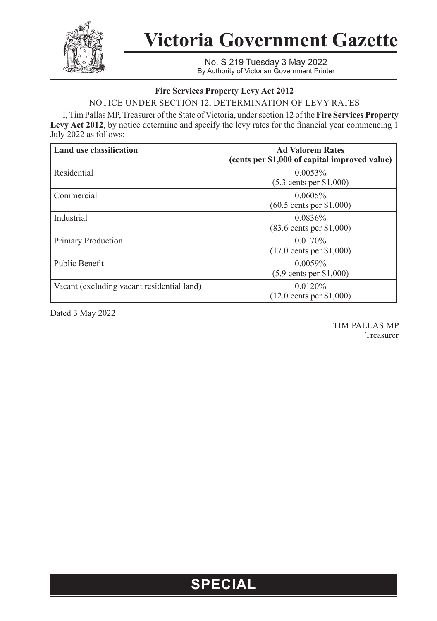

**Victoria Government Gazette**

No. S 219 Tuesday 3 May 2022 By Authority of Victorian Government Printer

## **Fire Services Property Levy Act 2012**

NOTICE UNDER SECTION 12, DETERMINATION OF LEVY RATES

I, Tim Pallas MP, Treasurer of the State of Victoria, under section 12 of the **Fire Services Property Levy Act 2012**, by notice determine and specify the levy rates for the financial year commencing 1 July 2022 as follows:

| Land use classification                    | <b>Ad Valorem Rates</b><br>(cents per \$1,000 of capital improved value) |
|--------------------------------------------|--------------------------------------------------------------------------|
| Residential                                | $0.0053\%$<br>$(5.3 \text{ cents per } $1,000)$                          |
| Commercial                                 | $0.0605\%$<br>$(60.5 \text{ cents per } $1,000)$                         |
| Industrial                                 | $0.0836\%$<br>$(83.6 \text{ cents per } $1,000)$                         |
| Primary Production                         | $0.0170\%$<br>$(17.0 \text{ cents per } $1,000)$                         |
| Public Benefit                             | $0.0059\%$<br>$(5.9 \text{ cents per } $1,000)$                          |
| Vacant (excluding vacant residential land) | 0.0120%<br>$(12.0 \text{ cents per } $1,000)$                            |

Dated 3 May 2022

TIM PALLAS MP Treasurer

## **SPECIAL**